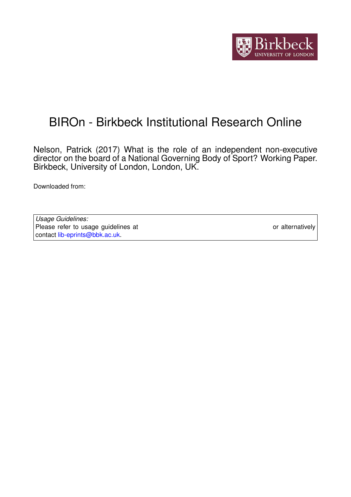

## BIROn - Birkbeck Institutional Research Online

Nelson, Patrick (2017) What is the role of an independent non-executive director on the board of a National Governing Body of Sport? Working Paper. Birkbeck, University of London, London, UK.

Downloaded from: <https://eprints.bbk.ac.uk/id/eprint/18399/>

*Usage Guidelines:* Please refer to usage guidelines at <https://eprints.bbk.ac.uk/policies.html> or alternatively contact [lib-eprints@bbk.ac.uk.](mailto:lib-eprints@bbk.ac.uk)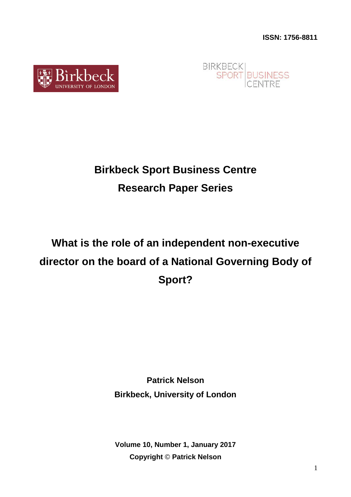



## **Birkbeck Sport Business Centre Research Paper Series**

# **What is the role of an independent non-executive director on the board of a National Governing Body of Sport?**

**Patrick Nelson Birkbeck, University of London**

**Volume 10, Number 1, January 2017 Copyright** © **Patrick Nelson**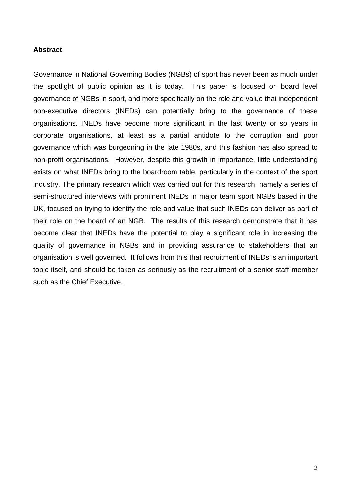## **Abstract**

Governance in National Governing Bodies (NGBs) of sport has never been as much under the spotlight of public opinion as it is today. This paper is focused on board level governance of NGBs in sport, and more specifically on the role and value that independent non-executive directors (INEDs) can potentially bring to the governance of these organisations. INEDs have become more significant in the last twenty or so years in corporate organisations, at least as a partial antidote to the corruption and poor governance which was burgeoning in the late 1980s, and this fashion has also spread to non-profit organisations. However, despite this growth in importance, little understanding exists on what INEDs bring to the boardroom table, particularly in the context of the sport industry. The primary research which was carried out for this research, namely a series of semi-structured interviews with prominent INEDs in major team sport NGBs based in the UK, focused on trying to identify the role and value that such INEDs can deliver as part of their role on the board of an NGB. The results of this research demonstrate that it has become clear that INEDs have the potential to play a significant role in increasing the quality of governance in NGBs and in providing assurance to stakeholders that an organisation is well governed. It follows from this that recruitment of INEDs is an important topic itself, and should be taken as seriously as the recruitment of a senior staff member such as the Chief Executive.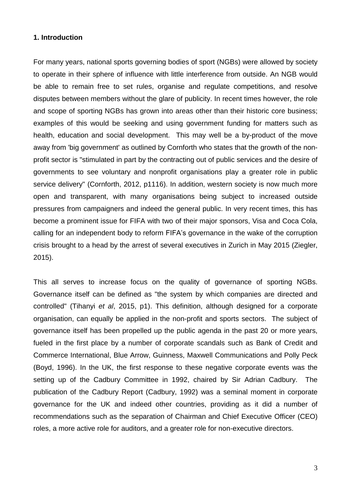## **1. Introduction**

For many years, national sports governing bodies of sport (NGBs) were allowed by society to operate in their sphere of influence with little interference from outside. An NGB would be able to remain free to set rules, organise and regulate competitions, and resolve disputes between members without the glare of publicity. In recent times however, the role and scope of sporting NGBs has grown into areas other than their historic core business; examples of this would be seeking and using government funding for matters such as health, education and social development. This may well be a by-product of the move away from 'big government' as outlined by Cornforth who states that the growth of the nonprofit sector is "stimulated in part by the contracting out of public services and the desire of governments to see voluntary and nonprofit organisations play a greater role in public service delivery" (Cornforth, 2012, p1116). In addition, western society is now much more open and transparent, with many organisations being subject to increased outside pressures from campaigners and indeed the general public. In very recent times, this has become a prominent issue for FIFA with two of their major sponsors, Visa and Coca Cola, calling for an independent body to reform FIFA's governance in the wake of the corruption crisis brought to a head by the arrest of several executives in Zurich in May 2015 (Ziegler, 2015).

This all serves to increase focus on the quality of governance of sporting NGBs. Governance itself can be defined as "the system by which companies are directed and controlled" (Tihanyi *et al*, 2015, p1). This definition, although designed for a corporate organisation, can equally be applied in the non-profit and sports sectors. The subject of governance itself has been propelled up the public agenda in the past 20 or more years, fueled in the first place by a number of corporate scandals such as Bank of Credit and Commerce International, Blue Arrow, Guinness, Maxwell Communications and Polly Peck (Boyd, 1996). In the UK, the first response to these negative corporate events was the setting up of the Cadbury Committee in 1992, chaired by Sir Adrian Cadbury. The publication of the Cadbury Report (Cadbury, 1992) was a seminal moment in corporate governance for the UK and indeed other countries, providing as it did a number of recommendations such as the separation of Chairman and Chief Executive Officer (CEO) roles, a more active role for auditors, and a greater role for non-executive directors.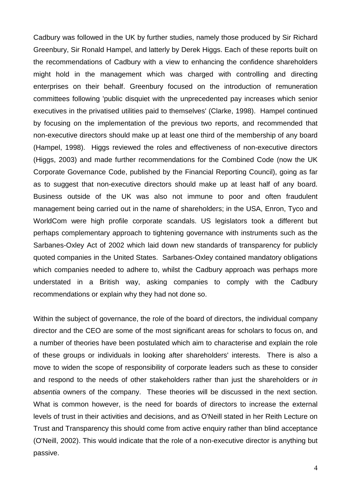Cadbury was followed in the UK by further studies, namely those produced by Sir Richard Greenbury, Sir Ronald Hampel, and latterly by Derek Higgs. Each of these reports built on the recommendations of Cadbury with a view to enhancing the confidence shareholders might hold in the management which was charged with controlling and directing enterprises on their behalf. Greenbury focused on the introduction of remuneration committees following 'public disquiet with the unprecedented pay increases which senior executives in the privatised utilities paid to themselves' (Clarke, 1998). Hampel continued by focusing on the implementation of the previous two reports, and recommended that non-executive directors should make up at least one third of the membership of any board (Hampel, 1998). Higgs reviewed the roles and effectiveness of non-executive directors (Higgs, 2003) and made further recommendations for the Combined Code (now the UK Corporate Governance Code, published by the Financial Reporting Council), going as far as to suggest that non-executive directors should make up at least half of any board. Business outside of the UK was also not immune to poor and often fraudulent management being carried out in the name of shareholders; in the USA, Enron, Tyco and WorldCom were high profile corporate scandals. US legislators took a different but perhaps complementary approach to tightening governance with instruments such as the Sarbanes-Oxley Act of 2002 which laid down new standards of transparency for publicly quoted companies in the United States. Sarbanes-Oxley contained mandatory obligations which companies needed to adhere to, whilst the Cadbury approach was perhaps more understated in a British way, asking companies to comply with the Cadbury recommendations or explain why they had not done so.

Within the subject of governance, the role of the board of directors, the individual company director and the CEO are some of the most significant areas for scholars to focus on, and a number of theories have been postulated which aim to characterise and explain the role of these groups or individuals in looking after shareholders' interests. There is also a move to widen the scope of responsibility of corporate leaders such as these to consider and respond to the needs of other stakeholders rather than just the shareholders or *in absentia* owners of the company. These theories will be discussed in the next section. What is common however, is the need for boards of directors to increase the external levels of trust in their activities and decisions, and as O'Neill stated in her Reith Lecture on Trust and Transparency this should come from active enquiry rather than blind acceptance (O'Neill, 2002). This would indicate that the role of a non-executive director is anything but passive.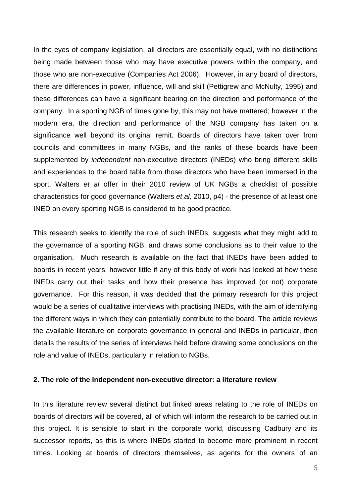In the eyes of company legislation, all directors are essentially equal, with no distinctions being made between those who may have executive powers within the company, and those who are non-executive (Companies Act 2006). However, in any board of directors, there are differences in power, influence, will and skill (Pettigrew and McNulty, 1995) and these differences can have a significant bearing on the direction and performance of the company. In a sporting NGB of times gone by, this may not have mattered; however in the modern era, the direction and performance of the NGB company has taken on a significance well beyond its original remit. Boards of directors have taken over from councils and committees in many NGBs, and the ranks of these boards have been supplemented by *independent* non-executive directors (INEDs) who bring different skills and experiences to the board table from those directors who have been immersed in the sport. Walters *et al* offer in their 2010 review of UK NGBs a checklist of possible characteristics for good governance (Walters *et al,* 2010, p4) - the presence of at least one INED on every sporting NGB is considered to be good practice.

This research seeks to identify the role of such INEDs, suggests what they might add to the governance of a sporting NGB, and draws some conclusions as to their value to the organisation. Much research is available on the fact that INEDs have been added to boards in recent years, however little if any of this body of work has looked at how these INEDs carry out their tasks and how their presence has improved (or not) corporate governance. For this reason, it was decided that the primary research for this project would be a series of qualitative interviews with practising INEDs, with the aim of identifying the different ways in which they can potentially contribute to the board. The article reviews the available literature on corporate governance in general and INEDs in particular, then details the results of the series of interviews held before drawing some conclusions on the role and value of INEDs, particularly in relation to NGBs.

## **2. The role of the Independent non-executive director: a literature review**

In this literature review several distinct but linked areas relating to the role of INEDs on boards of directors will be covered, all of which will inform the research to be carried out in this project. It is sensible to start in the corporate world, discussing Cadbury and its successor reports, as this is where INEDs started to become more prominent in recent times. Looking at boards of directors themselves, as agents for the owners of an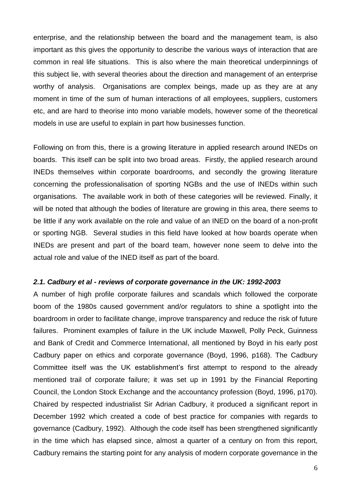enterprise, and the relationship between the board and the management team, is also important as this gives the opportunity to describe the various ways of interaction that are common in real life situations. This is also where the main theoretical underpinnings of this subject lie, with several theories about the direction and management of an enterprise worthy of analysis. Organisations are complex beings, made up as they are at any moment in time of the sum of human interactions of all employees, suppliers, customers etc, and are hard to theorise into mono variable models, however some of the theoretical models in use are useful to explain in part how businesses function.

Following on from this, there is a growing literature in applied research around INEDs on boards. This itself can be split into two broad areas. Firstly, the applied research around INEDs themselves within corporate boardrooms, and secondly the growing literature concerning the professionalisation of sporting NGBs and the use of INEDs within such organisations. The available work in both of these categories will be reviewed. Finally, it will be noted that although the bodies of literature are growing in this area, there seems to be little if any work available on the role and value of an INED on the board of a non-profit or sporting NGB. Several studies in this field have looked at how boards operate when INEDs are present and part of the board team, however none seem to delve into the actual role and value of the INED itself as part of the board.

### *2.1. Cadbury et al - reviews of corporate governance in the UK: 1992-2003*

A number of high profile corporate failures and scandals which followed the corporate boom of the 1980s caused government and/or regulators to shine a spotlight into the boardroom in order to facilitate change, improve transparency and reduce the risk of future failures. Prominent examples of failure in the UK include Maxwell, Polly Peck, Guinness and Bank of Credit and Commerce International, all mentioned by Boyd in his early post Cadbury paper on ethics and corporate governance (Boyd, 1996, p168). The Cadbury Committee itself was the UK establishment's first attempt to respond to the already mentioned trail of corporate failure; it was set up in 1991 by the Financial Reporting Council, the London Stock Exchange and the accountancy profession (Boyd, 1996, p170). Chaired by respected industrialist Sir Adrian Cadbury, it produced a significant report in December 1992 which created a code of best practice for companies with regards to governance (Cadbury, 1992). Although the code itself has been strengthened significantly in the time which has elapsed since, almost a quarter of a century on from this report, Cadbury remains the starting point for any analysis of modern corporate governance in the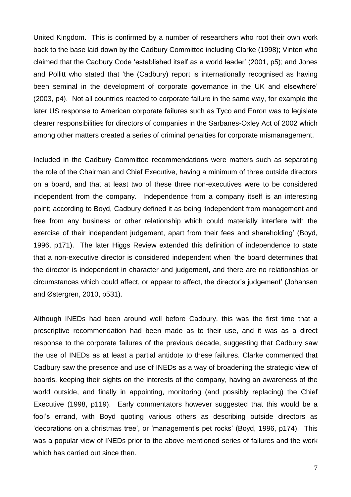United Kingdom. This is confirmed by a number of researchers who root their own work back to the base laid down by the Cadbury Committee including Clarke (1998); Vinten who claimed that the Cadbury Code 'established itself as a world leader' (2001, p5); and Jones and Pollitt who stated that 'the (Cadbury) report is internationally recognised as having been seminal in the development of corporate governance in the UK and elsewhere' (2003, p4). Not all countries reacted to corporate failure in the same way, for example the later US response to American corporate failures such as Tyco and Enron was to legislate clearer responsibilities for directors of companies in the Sarbanes-Oxley Act of 2002 which among other matters created a series of criminal penalties for corporate mismanagement.

Included in the Cadbury Committee recommendations were matters such as separating the role of the Chairman and Chief Executive, having a minimum of three outside directors on a board, and that at least two of these three non-executives were to be considered independent from the company. Independence from a company itself is an interesting point; according to Boyd, Cadbury defined it as being 'independent from management and free from any business or other relationship which could materially interfere with the exercise of their independent judgement, apart from their fees and shareholding' (Boyd, 1996, p171). The later Higgs Review extended this definition of independence to state that a non-executive director is considered independent when 'the board determines that the director is independent in character and judgement, and there are no relationships or circumstances which could affect, or appear to affect, the director's judgement' (Johansen and Østergren, 2010, p531).

Although INEDs had been around well before Cadbury, this was the first time that a prescriptive recommendation had been made as to their use, and it was as a direct response to the corporate failures of the previous decade, suggesting that Cadbury saw the use of INEDs as at least a partial antidote to these failures. Clarke commented that Cadbury saw the presence and use of INEDs as a way of broadening the strategic view of boards, keeping their sights on the interests of the company, having an awareness of the world outside, and finally in appointing, monitoring (and possibly replacing) the Chief Executive (1998, p119). Early commentators however suggested that this would be a fool's errand, with Boyd quoting various others as describing outside directors as 'decorations on a christmas tree', or 'management's pet rocks' (Boyd, 1996, p174). This was a popular view of INEDs prior to the above mentioned series of failures and the work which has carried out since then.

7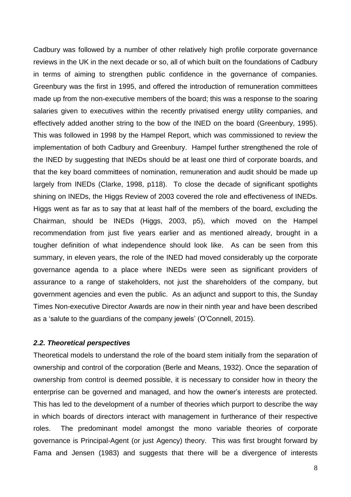Cadbury was followed by a number of other relatively high profile corporate governance reviews in the UK in the next decade or so, all of which built on the foundations of Cadbury in terms of aiming to strengthen public confidence in the governance of companies. Greenbury was the first in 1995, and offered the introduction of remuneration committees made up from the non-executive members of the board; this was a response to the soaring salaries given to executives within the recently privatised energy utility companies, and effectively added another string to the bow of the INED on the board (Greenbury, 1995). This was followed in 1998 by the Hampel Report, which was commissioned to review the implementation of both Cadbury and Greenbury. Hampel further strengthened the role of the INED by suggesting that INEDs should be at least one third of corporate boards, and that the key board committees of nomination, remuneration and audit should be made up largely from INEDs (Clarke, 1998, p118). To close the decade of significant spotlights shining on INEDs, the Higgs Review of 2003 covered the role and effectiveness of INEDs. Higgs went as far as to say that at least half of the members of the board, excluding the Chairman, should be INEDs (Higgs, 2003, p5), which moved on the Hampel recommendation from just five years earlier and as mentioned already, brought in a tougher definition of what independence should look like. As can be seen from this summary, in eleven years, the role of the INED had moved considerably up the corporate governance agenda to a place where INEDs were seen as significant providers of assurance to a range of stakeholders, not just the shareholders of the company, but government agencies and even the public. As an adjunct and support to this, the Sunday Times Non-executive Director Awards are now in their ninth year and have been described as a 'salute to the guardians of the company jewels' (O'Connell, 2015).

### *2.2. Theoretical perspectives*

Theoretical models to understand the role of the board stem initially from the separation of ownership and control of the corporation (Berle and Means, 1932). Once the separation of ownership from control is deemed possible, it is necessary to consider how in theory the enterprise can be governed and managed, and how the owner's interests are protected. This has led to the development of a number of theories which purport to describe the way in which boards of directors interact with management in furtherance of their respective roles. The predominant model amongst the mono variable theories of corporate governance is Principal-Agent (or just Agency) theory. This was first brought forward by Fama and Jensen (1983) and suggests that there will be a divergence of interests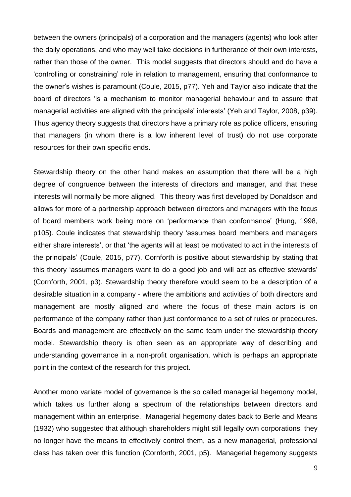between the owners (principals) of a corporation and the managers (agents) who look after the daily operations, and who may well take decisions in furtherance of their own interests, rather than those of the owner. This model suggests that directors should and do have a 'controlling or constraining' role in relation to management, ensuring that conformance to the owner's wishes is paramount (Coule, 2015, p77). Yeh and Taylor also indicate that the board of directors 'is a mechanism to monitor managerial behaviour and to assure that managerial activities are aligned with the principals' interests' (Yeh and Taylor, 2008, p39). Thus agency theory suggests that directors have a primary role as police officers, ensuring that managers (in whom there is a low inherent level of trust) do not use corporate resources for their own specific ends.

Stewardship theory on the other hand makes an assumption that there will be a high degree of congruence between the interests of directors and manager, and that these interests will normally be more aligned. This theory was first developed by Donaldson and allows for more of a partnership approach between directors and managers with the focus of board members work being more on 'performance than conformance' (Hung, 1998, p105). Coule indicates that stewardship theory 'assumes board members and managers either share interests', or that 'the agents will at least be motivated to act in the interests of the principals' (Coule, 2015, p77). Cornforth is positive about stewardship by stating that this theory 'assumes managers want to do a good job and will act as effective stewards' (Cornforth, 2001, p3). Stewardship theory therefore would seem to be a description of a desirable situation in a company - where the ambitions and activities of both directors and management are mostly aligned and where the focus of these main actors is on performance of the company rather than just conformance to a set of rules or procedures. Boards and management are effectively on the same team under the stewardship theory model. Stewardship theory is often seen as an appropriate way of describing and understanding governance in a non-profit organisation, which is perhaps an appropriate point in the context of the research for this project.

Another mono variate model of governance is the so called managerial hegemony model, which takes us further along a spectrum of the relationships between directors and management within an enterprise. Managerial hegemony dates back to Berle and Means (1932) who suggested that although shareholders might still legally own corporations, they no longer have the means to effectively control them, as a new managerial, professional class has taken over this function (Cornforth, 2001, p5). Managerial hegemony suggests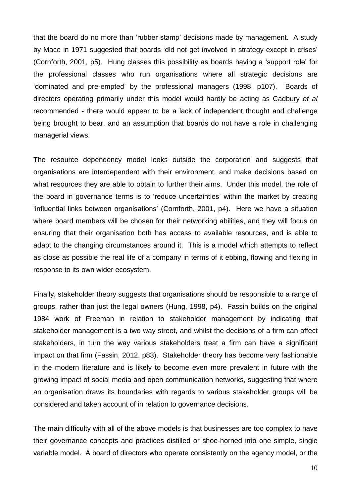that the board do no more than 'rubber stamp' decisions made by management. A study by Mace in 1971 suggested that boards 'did not get involved in strategy except in crises' (Cornforth, 2001, p5). Hung classes this possibility as boards having a 'support role' for the professional classes who run organisations where all strategic decisions are 'dominated and pre-empted' by the professional managers (1998, p107). Boards of directors operating primarily under this model would hardly be acting as Cadbury *et al* recommended - there would appear to be a lack of independent thought and challenge being brought to bear, and an assumption that boards do not have a role in challenging managerial views.

The resource dependency model looks outside the corporation and suggests that organisations are interdependent with their environment, and make decisions based on what resources they are able to obtain to further their aims. Under this model, the role of the board in governance terms is to 'reduce uncertainties' within the market by creating 'influential links between organisations' (Cornforth, 2001, p4). Here we have a situation where board members will be chosen for their networking abilities, and they will focus on ensuring that their organisation both has access to available resources, and is able to adapt to the changing circumstances around it. This is a model which attempts to reflect as close as possible the real life of a company in terms of it ebbing, flowing and flexing in response to its own wider ecosystem.

Finally, stakeholder theory suggests that organisations should be responsible to a range of groups, rather than just the legal owners (Hung, 1998, p4). Fassin builds on the original 1984 work of Freeman in relation to stakeholder management by indicating that stakeholder management is a two way street, and whilst the decisions of a firm can affect stakeholders, in turn the way various stakeholders treat a firm can have a significant impact on that firm (Fassin, 2012, p83). Stakeholder theory has become very fashionable in the modern literature and is likely to become even more prevalent in future with the growing impact of social media and open communication networks, suggesting that where an organisation draws its boundaries with regards to various stakeholder groups will be considered and taken account of in relation to governance decisions.

The main difficulty with all of the above models is that businesses are too complex to have their governance concepts and practices distilled or shoe-horned into one simple, single variable model. A board of directors who operate consistently on the agency model, or the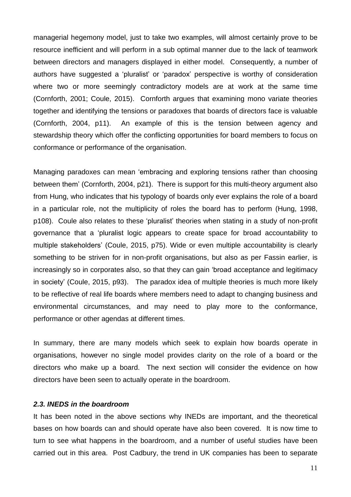managerial hegemony model, just to take two examples, will almost certainly prove to be resource inefficient and will perform in a sub optimal manner due to the lack of teamwork between directors and managers displayed in either model. Consequently, a number of authors have suggested a 'pluralist' or 'paradox' perspective is worthy of consideration where two or more seemingly contradictory models are at work at the same time (Cornforth, 2001; Coule, 2015). Cornforth argues that examining mono variate theories together and identifying the tensions or paradoxes that boards of directors face is valuable (Cornforth, 2004, p11). An example of this is the tension between agency and stewardship theory which offer the conflicting opportunities for board members to focus on conformance or performance of the organisation.

Managing paradoxes can mean 'embracing and exploring tensions rather than choosing between them' (Cornforth, 2004, p21). There is support for this multi-theory argument also from Hung, who indicates that his typology of boards only ever explains the role of a board in a particular role, not the multiplicity of roles the board has to perform (Hung, 1998, p108). Coule also relates to these 'pluralist' theories when stating in a study of non-profit governance that a 'pluralist logic appears to create space for broad accountability to multiple stakeholders' (Coule, 2015, p75). Wide or even multiple accountability is clearly something to be striven for in non-profit organisations, but also as per Fassin earlier, is increasingly so in corporates also, so that they can gain 'broad acceptance and legitimacy in society' (Coule, 2015, p93). The paradox idea of multiple theories is much more likely to be reflective of real life boards where members need to adapt to changing business and environmental circumstances, and may need to play more to the conformance, performance or other agendas at different times.

In summary, there are many models which seek to explain how boards operate in organisations, however no single model provides clarity on the role of a board or the directors who make up a board. The next section will consider the evidence on how directors have been seen to actually operate in the boardroom.

## *2.3. INEDS in the boardroom*

It has been noted in the above sections why INEDs are important, and the theoretical bases on how boards can and should operate have also been covered. It is now time to turn to see what happens in the boardroom, and a number of useful studies have been carried out in this area. Post Cadbury, the trend in UK companies has been to separate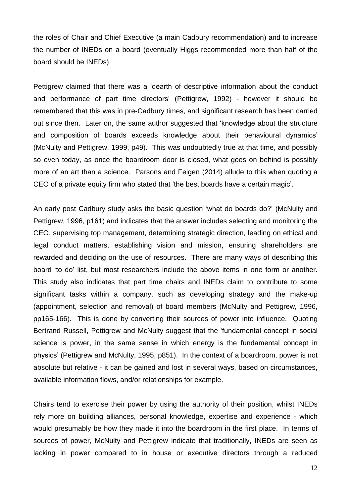the roles of Chair and Chief Executive (a main Cadbury recommendation) and to increase the number of INEDs on a board (eventually Higgs recommended more than half of the board should be INEDs).

Pettigrew claimed that there was a 'dearth of descriptive information about the conduct and performance of part time directors' (Pettigrew, 1992) - however it should be remembered that this was in pre-Cadbury times, and significant research has been carried out since then. Later on, the same author suggested that 'knowledge about the structure and composition of boards exceeds knowledge about their behavioural dynamics' (McNulty and Pettigrew, 1999, p49). This was undoubtedly true at that time, and possibly so even today, as once the boardroom door is closed, what goes on behind is possibly more of an art than a science. Parsons and Feigen (2014) allude to this when quoting a CEO of a private equity firm who stated that 'the best boards have a certain magic'.

An early post Cadbury study asks the basic question 'what do boards do?' (McNulty and Pettigrew, 1996, p161) and indicates that the answer includes selecting and monitoring the CEO, supervising top management, determining strategic direction, leading on ethical and legal conduct matters, establishing vision and mission, ensuring shareholders are rewarded and deciding on the use of resources. There are many ways of describing this board 'to do' list, but most researchers include the above items in one form or another. This study also indicates that part time chairs and INEDs claim to contribute to some significant tasks within a company, such as developing strategy and the make-up (appointment, selection and removal) of board members (McNulty and Pettigrew, 1996, pp165-166). This is done by converting their sources of power into influence. Quoting Bertrand Russell, Pettigrew and McNulty suggest that the 'fundamental concept in social science is power, in the same sense in which energy is the fundamental concept in physics' (Pettigrew and McNulty, 1995, p851). In the context of a boardroom, power is not absolute but relative - it can be gained and lost in several ways, based on circumstances, available information flows, and/or relationships for example.

Chairs tend to exercise their power by using the authority of their position, whilst INEDs rely more on building alliances, personal knowledge, expertise and experience - which would presumably be how they made it into the boardroom in the first place. In terms of sources of power, McNulty and Pettigrew indicate that traditionally, INEDs are seen as lacking in power compared to in house or executive directors through a reduced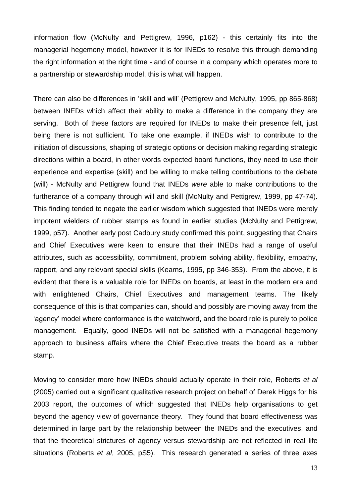information flow (McNulty and Pettigrew, 1996, p162) - this certainly fits into the managerial hegemony model, however it is for INEDs to resolve this through demanding the right information at the right time - and of course in a company which operates more to a partnership or stewardship model, this is what will happen.

There can also be differences in 'skill and will' (Pettigrew and McNulty, 1995, pp 865-868) between INEDs which affect their ability to make a difference in the company they are serving. Both of these factors are required for INEDs to make their presence felt, just being there is not sufficient. To take one example, if INEDs wish to contribute to the initiation of discussions, shaping of strategic options or decision making regarding strategic directions within a board, in other words expected board functions, they need to use their experience and expertise (skill) and be willing to make telling contributions to the debate (will) - McNulty and Pettigrew found that INEDs *were* able to make contributions to the furtherance of a company through will and skill (McNulty and Pettigrew, 1999, pp 47-74). This finding tended to negate the earlier wisdom which suggested that INEDs were merely impotent wielders of rubber stamps as found in earlier studies (McNulty and Pettigrew, 1999, p57). Another early post Cadbury study confirmed this point, suggesting that Chairs and Chief Executives were keen to ensure that their INEDs had a range of useful attributes, such as accessibility, commitment, problem solving ability, flexibility, empathy, rapport, and any relevant special skills (Kearns, 1995, pp 346-353). From the above, it is evident that there is a valuable role for INEDs on boards, at least in the modern era and with enlightened Chairs, Chief Executives and management teams. The likely consequence of this is that companies can, should and possibly are moving away from the 'agency' model where conformance is the watchword, and the board role is purely to police management. Equally, good INEDs will not be satisfied with a managerial hegemony approach to business affairs where the Chief Executive treats the board as a rubber stamp.

Moving to consider more how INEDs should actually operate in their role, Roberts *et al* (2005) carried out a significant qualitative research project on behalf of Derek Higgs for his 2003 report, the outcomes of which suggested that INEDs help organisations to get beyond the agency view of governance theory. They found that board effectiveness was determined in large part by the relationship between the INEDs and the executives, and that the theoretical strictures of agency versus stewardship are not reflected in real life situations (Roberts *et al*, 2005, pS5). This research generated a series of three axes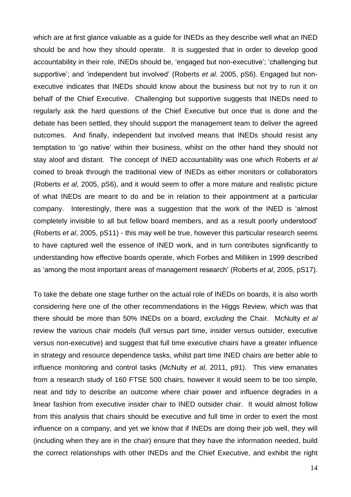which are at first glance valuable as a guide for INEDs as they describe well what an INED should be and how they should operate. It is suggested that in order to develop good accountability in their role, INEDs should be, 'engaged but non-executive'; 'challenging but supportive'; and 'independent but involved' (Roberts *et al*. 2005, pS6). Engaged but nonexecutive indicates that INEDs should know about the business but not try to run it on behalf of the Chief Executive. Challenging but supportive suggests that INEDs need to regularly ask the hard questions of the Chief Executive but once that is done and the debate has been settled, they should support the management team to deliver the agreed outcomes. And finally, independent but involved means that INEDs should resist any temptation to 'go native' within their business, whilst on the other hand they should not stay aloof and distant. The concept of INED accountability was one which Roberts *et al* coined to break through the traditional view of INEDs as either monitors or collaborators (Roberts *et al*, 2005, pS6), and it would seem to offer a more mature and realistic picture of what INEDs are meant to do and be in relation to their appointment at a particular company. Interestingly, there was a suggestion that the work of the INED is 'almost completely invisible to all but fellow board members, and as a result poorly understood' (Roberts *et al*, 2005, pS11) - this may well be true, however this particular research seems to have captured well the essence of INED work, and in turn contributes significantly to understanding how effective boards operate, which Forbes and Milliken in 1999 described as 'among the most important areas of management research' (Roberts *et al*, 2005, pS17).

To take the debate one stage further on the actual role of INEDs on boards, it is also worth considering here one of the other recommendations in the Higgs Review, which was that there should be more than 50% INEDs on a board, *excluding* the Chair. McNulty *et al* review the various chair models (full versus part time, insider versus outsider, executive versus non-executive) and suggest that full time executive chairs have a greater influence in strategy and resource dependence tasks, whilst part time INED chairs are better able to influence monitoring and control tasks (McNulty *et al*, 2011, p91). This view emanates from a research study of 160 FTSE 500 chairs, however it would seem to be too simple, neat and tidy to describe an outcome where chair power and influence degrades in a linear fashion from executive insider chair to INED outsider chair. It would almost follow from this analysis that chairs should be executive and full time in order to exert the most influence on a company, and yet we know that if INEDs are doing their job well, they will (including when they are in the chair) ensure that they have the information needed, build the correct relationships with other INEDs and the Chief Executive, and exhibit the right

14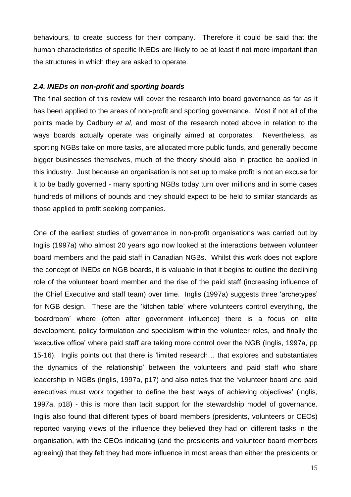behaviours, to create success for their company. Therefore it could be said that the human characteristics of specific INEDs are likely to be at least if not more important than the structures in which they are asked to operate.

## *2.4. INEDs on non-profit and sporting boards*

The final section of this review will cover the research into board governance as far as it has been applied to the areas of non-profit and sporting governance. Most if not all of the points made by Cadbury *et al*, and most of the research noted above in relation to the ways boards actually operate was originally aimed at corporates. Nevertheless, as sporting NGBs take on more tasks, are allocated more public funds, and generally become bigger businesses themselves, much of the theory should also in practice be applied in this industry. Just because an organisation is not set up to make profit is not an excuse for it to be badly governed - many sporting NGBs today turn over millions and in some cases hundreds of millions of pounds and they should expect to be held to similar standards as those applied to profit seeking companies.

One of the earliest studies of governance in non-profit organisations was carried out by Inglis (1997a) who almost 20 years ago now looked at the interactions between volunteer board members and the paid staff in Canadian NGBs. Whilst this work does not explore the concept of INEDs on NGB boards, it is valuable in that it begins to outline the declining role of the volunteer board member and the rise of the paid staff (increasing influence of the Chief Executive and staff team) over time. Inglis (1997a) suggests three 'archetypes' for NGB design. These are the 'kitchen table' where volunteers control everything, the 'boardroom' where (often after government influence) there is a focus on elite development, policy formulation and specialism within the volunteer roles, and finally the 'executive office' where paid staff are taking more control over the NGB (Inglis, 1997a, pp 15-16). Inglis points out that there is 'limited research… that explores and substantiates the dynamics of the relationship' between the volunteers and paid staff who share leadership in NGBs (Inglis, 1997a, p17) and also notes that the 'volunteer board and paid executives must work together to define the best ways of achieving objectives' (Inglis, 1997a, p18) - this is more than tacit support for the stewardship model of governance. Inglis also found that different types of board members (presidents, volunteers or CEOs) reported varying views of the influence they believed they had on different tasks in the organisation, with the CEOs indicating (and the presidents and volunteer board members agreeing) that they felt they had more influence in most areas than either the presidents or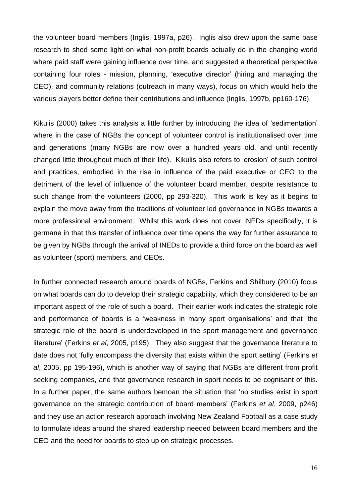the volunteer board members (Inglis, 1997a, p26). Inglis also drew upon the same base research to shed some light on what non-profit boards actually do in the changing world where paid staff were gaining influence over time, and suggested a theoretical perspective containing four roles - mission, planning, 'executive director' (hiring and managing the CEO), and community relations (outreach in many ways), focus on which would help the various players better define their contributions and influence (Inglis, 1997b, pp160-176).

Kikulis (2000) takes this analysis a little further by introducing the idea of 'sedimentation' where in the case of NGBs the concept of volunteer control is institutionalised over time and generations (many NGBs are now over a hundred years old, and until recently changed little throughout much of their life). Kikulis also refers to 'erosion' of such control and practices, embodied in the rise in influence of the paid executive or CEO to the detriment of the level of influence of the volunteer board member, despite resistance to such change from the volunteers (2000, pp 293-320). This work is key as it begins to explain the move away from the traditions of volunteer led governance in NGBs towards a more professional environment. Whilst this work does not cover INEDs specifically, it is germane in that this transfer of influence over time opens the way for further assurance to be given by NGBs through the arrival of INEDs to provide a third force on the board as well as volunteer (sport) members, and CEOs.

In further connected research around boards of NGBs, Ferkins and Shilbury (2010) focus on what boards can do to develop their strategic capability, which they considered to be an important aspect of the role of such a board. Their earlier work indicates the strategic role and performance of boards is a 'weakness in many sport organisations' and that 'the strategic role of the board is underdeveloped in the sport management and governance literature' (Ferkins *et al*, 2005, p195). They also suggest that the governance literature to date does not 'fully encompass the diversity that exists within the sport setting' (Ferkins *et al*, 2005, pp 195-196), which is another way of saying that NGBs are different from profit seeking companies, and that governance research in sport needs to be cognisant of this. In a further paper, the same authors bemoan the situation that 'no studies exist in sport governance on the strategic contribution of board members' (Ferkins *et al*, 2009, p246) and they use an action research approach involving New Zealand Football as a case study to formulate ideas around the shared leadership needed between board members and the CEO and the need for boards to step up on strategic processes.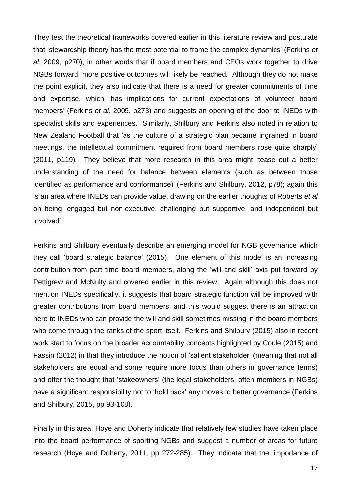They test the theoretical frameworks covered earlier in this literature review and postulate that 'stewardship theory has the most potential to frame the complex dynamics' (Ferkins *et al*, 2009, p270), in other words that if board members and CEOs work together to drive NGBs forward, more positive outcomes will likely be reached. Although they do not make the point explicit, they also indicate that there is a need for greater commitments of time and expertise, which 'has implications for current expectations of volunteer board members' (Ferkins *et al*, 2009, p273) and suggests an opening of the door to INEDs with specialist skills and experiences. Similarly, Shilbury and Ferkins also noted in relation to New Zealand Football that 'as the culture of a strategic plan became ingrained in board meetings, the intellectual commitment required from board members rose quite sharply' (2011, p119). They believe that more research in this area might 'tease out a better understanding of the need for balance between elements (such as between those identified as performance and conformance)' (Ferkins and Shilbury, 2012, p78); again this is an area where INEDs can provide value, drawing on the earlier thoughts of Roberts *et al* on being 'engaged but non-executive, challenging but supportive, and independent but involved'.

Ferkins and Shilbury eventually describe an emerging model for NGB governance which they call 'board strategic balance' (2015). One element of this model is an increasing contribution from part time board members, along the 'will and skill' axis put forward by Pettigrew and McNulty and covered earlier in this review. Again although this does not mention INEDs specifically, it suggests that board strategic function will be improved with greater contributions from board members, and this would suggest there is an attraction here to INEDs who can provide the will and skill sometimes missing in the board members who come through the ranks of the sport itself. Ferkins and Shilbury (2015) also in recent work start to focus on the broader accountability concepts highlighted by Coule (2015) and Fassin (2012) in that they introduce the notion of 'salient stakeholder' (meaning that not all stakeholders are equal and some require more focus than others in governance terms) and offer the thought that 'stakeowners' (the legal stakeholders, often members in NGBs) have a significant responsibility not to 'hold back' any moves to better governance (Ferkins and Shilbury, 2015, pp 93-108).

Finally in this area, Hoye and Doherty indicate that relatively few studies have taken place into the board performance of sporting NGBs and suggest a number of areas for future research (Hoye and Doherty, 2011, pp 272-285). They indicate that the 'importance of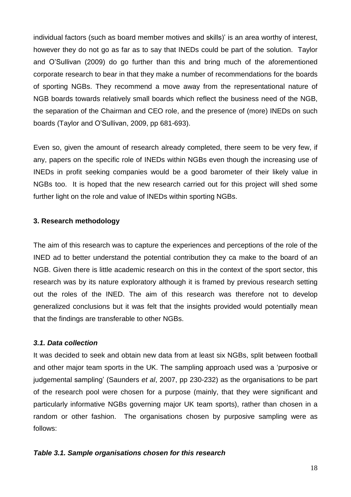individual factors (such as board member motives and skills)' is an area worthy of interest, however they do not go as far as to say that INEDs could be part of the solution. Taylor and O'Sullivan (2009) do go further than this and bring much of the aforementioned corporate research to bear in that they make a number of recommendations for the boards of sporting NGBs. They recommend a move away from the representational nature of NGB boards towards relatively small boards which reflect the business need of the NGB, the separation of the Chairman and CEO role, and the presence of (more) INEDs on such boards (Taylor and O'Sullivan, 2009, pp 681-693).

Even so, given the amount of research already completed, there seem to be very few, if any, papers on the specific role of INEDs within NGBs even though the increasing use of INEDs in profit seeking companies would be a good barometer of their likely value in NGBs too. It is hoped that the new research carried out for this project will shed some further light on the role and value of INEDs within sporting NGBs.

## **3. Research methodology**

The aim of this research was to capture the experiences and perceptions of the role of the INED ad to better understand the potential contribution they ca make to the board of an NGB. Given there is little academic research on this in the context of the sport sector, this research was by its nature exploratory although it is framed by previous research setting out the roles of the INED. The aim of this research was therefore not to develop generalized conclusions but it was felt that the insights provided would potentially mean that the findings are transferable to other NGBs.

## *3.1. Data collection*

It was decided to seek and obtain new data from at least six NGBs, split between football and other major team sports in the UK. The sampling approach used was a 'purposive or judgemental sampling' (Saunders *et al*, 2007, pp 230-232) as the organisations to be part of the research pool were chosen for a purpose (mainly, that they were significant and particularly informative NGBs governing major UK team sports), rather than chosen in a random or other fashion. The organisations chosen by purposive sampling were as follows:

## *Table 3.1. Sample organisations chosen for this research*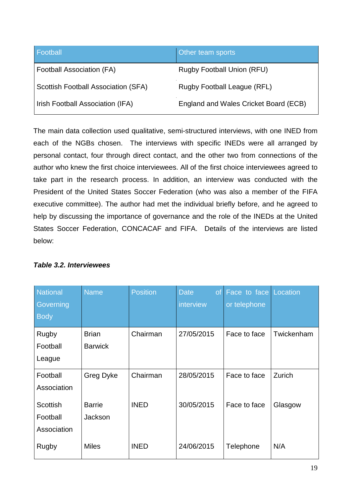| Football                            | Other team sports                     |
|-------------------------------------|---------------------------------------|
| Football Association (FA)           | <b>Rugby Football Union (RFU)</b>     |
| Scottish Football Association (SFA) | Rugby Football League (RFL)           |
| Irish Football Association (IFA)    | England and Wales Cricket Board (ECB) |

The main data collection used qualitative, semi-structured interviews, with one INED from each of the NGBs chosen. The interviews with specific INEDs were all arranged by personal contact, four through direct contact, and the other two from connections of the author who knew the first choice interviewees. All of the first choice interviewees agreed to take part in the research process. In addition, an interview was conducted with the President of the United States Soccer Federation (who was also a member of the FIFA executive committee). The author had met the individual briefly before, and he agreed to help by discussing the importance of governance and the role of the INEDs at the United States Soccer Federation, CONCACAF and FIFA. Details of the interviews are listed below:

| <b>National</b>                            | <b>Name</b>                    | <b>Position</b> | <b>Date</b><br><b>of</b><br>interview | Face to face Location |            |
|--------------------------------------------|--------------------------------|-----------------|---------------------------------------|-----------------------|------------|
| Governing<br><b>Body</b>                   |                                |                 |                                       | or telephone          |            |
| Rugby<br>Football<br>League                | <b>Brian</b><br><b>Barwick</b> | Chairman        | 27/05/2015                            | Face to face          | Twickenham |
| Football<br>Association                    | Greg Dyke                      | Chairman        | 28/05/2015                            | Face to face          | Zurich     |
| <b>Scottish</b><br>Football<br>Association | <b>Barrie</b><br>Jackson       | <b>INED</b>     | 30/05/2015                            | Face to face          | Glasgow    |
| Rugby                                      | <b>Miles</b>                   | <b>INED</b>     | 24/06/2015                            | Telephone             | N/A        |

## *Table 3.2. Interviewees*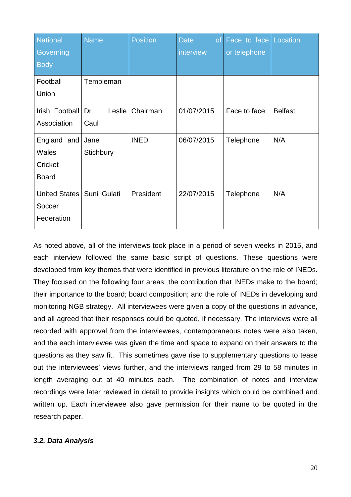| <b>National</b>      | <b>Name</b>         | <b>Position</b> | <b>Date</b><br>of <sub>l</sub> | <b>Face</b> to face Location |                |
|----------------------|---------------------|-----------------|--------------------------------|------------------------------|----------------|
| Governing            |                     |                 | interview                      | or telephone                 |                |
| <b>Body</b>          |                     |                 |                                |                              |                |
| Football             | Templeman           |                 |                                |                              |                |
| Union                |                     |                 |                                |                              |                |
| Irish Football       | Dr<br>Leslie        | Chairman        | 01/07/2015                     | Face to face                 | <b>Belfast</b> |
| Association          | Caul                |                 |                                |                              |                |
| England and          | Jane                | <b>INED</b>     | 06/07/2015                     | Telephone                    | N/A            |
| <b>Wales</b>         | Stichbury           |                 |                                |                              |                |
| Cricket              |                     |                 |                                |                              |                |
| <b>Board</b>         |                     |                 |                                |                              |                |
| <b>United States</b> | <b>Sunil Gulati</b> | President       | 22/07/2015                     | Telephone                    | N/A            |
| Soccer               |                     |                 |                                |                              |                |
| Federation           |                     |                 |                                |                              |                |

As noted above, all of the interviews took place in a period of seven weeks in 2015, and each interview followed the same basic script of questions. These questions were developed from key themes that were identified in previous literature on the role of INEDs. They focused on the following four areas: the contribution that INEDs make to the board; their importance to the board; board composition; and the role of INEDs in developing and monitoring NGB strategy. All interviewees were given a copy of the questions in advance, and all agreed that their responses could be quoted, if necessary. The interviews were all recorded with approval from the interviewees, contemporaneous notes were also taken, and the each interviewee was given the time and space to expand on their answers to the questions as they saw fit. This sometimes gave rise to supplementary questions to tease out the interviewees' views further, and the interviews ranged from 29 to 58 minutes in length averaging out at 40 minutes each. The combination of notes and interview recordings were later reviewed in detail to provide insights which could be combined and written up. Each interviewee also gave permission for their name to be quoted in the research paper.

## *3.2. Data Analysis*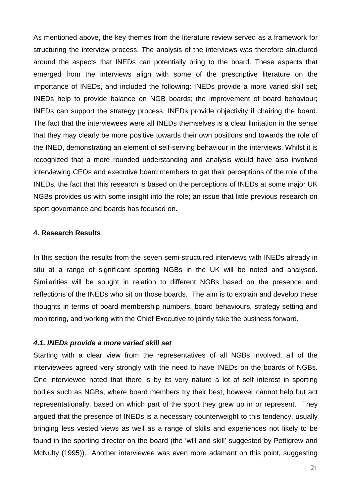As mentioned above, the key themes from the literature review served as a framework for structuring the interview process. The analysis of the interviews was therefore structured around the aspects that INEDs can potentially bring to the board. These aspects that emerged from the interviews align with some of the prescriptive literature on the importance of INEDs, and included the following: INEDs provide a more varied skill set; INEDs help to provide balance on NGB boards; the improvement of board behaviour; INEDs can support the strategy process; INEDs provide objectivity if chairing the board. The fact that the interviewees were all INEDs themselves is a clear limitation in the sense that they may clearly be more positive towards their own positions and towards the role of the INED, demonstrating an element of self-serving behaviour in the interviews. Whilst it is recognized that a more rounded understanding and analysis would have also involved interviewing CEOs and executive board members to get their perceptions of the role of the INEDs, the fact that this research is based on the perceptions of INEDs at some major UK NGBs provides us with some insight into the role; an issue that little previous research on sport governance and boards has focused on.

## **4. Research Results**

In this section the results from the seven semi-structured interviews with INEDs already in situ at a range of significant sporting NGBs in the UK will be noted and analysed. Similarities will be sought in relation to different NGBs based on the presence and reflections of the INEDs who sit on those boards. The aim is to explain and develop these thoughts in terms of board membership numbers, board behaviours, strategy setting and monitoring, and working with the Chief Executive to jointly take the business forward.

## *4.1. INEDs provide a more varied skill set*

Starting with a clear view from the representatives of all NGBs involved, all of the interviewees agreed very strongly with the need to have INEDs on the boards of NGBs. One interviewee noted that there is by its very nature a lot of self interest in sporting bodies such as NGBs, where board members try their best, however cannot help but act representationally, based on which part of the sport they grew up in or represent. They argued that the presence of INEDs is a necessary counterweight to this tendency, usually bringing less vested views as well as a range of skills and experiences not likely to be found in the sporting director on the board (the 'will and skill' suggested by Pettigrew and McNulty (1995)). Another interviewee was even more adamant on this point, suggesting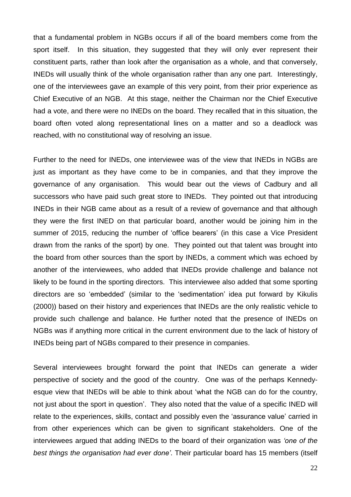that a fundamental problem in NGBs occurs if all of the board members come from the sport itself. In this situation, they suggested that they will only ever represent their constituent parts, rather than look after the organisation as a whole, and that conversely, INEDs will usually think of the whole organisation rather than any one part. Interestingly, one of the interviewees gave an example of this very point, from their prior experience as Chief Executive of an NGB. At this stage, neither the Chairman nor the Chief Executive had a vote, and there were no INEDs on the board. They recalled that in this situation, the board often voted along representational lines on a matter and so a deadlock was reached, with no constitutional way of resolving an issue.

Further to the need for INEDs, one interviewee was of the view that INEDs in NGBs are just as important as they have come to be in companies, and that they improve the governance of any organisation. This would bear out the views of Cadbury and all successors who have paid such great store to INEDs. They pointed out that introducing INEDs in their NGB came about as a result of a review of governance and that although they were the first INED on that particular board, another would be joining him in the summer of 2015, reducing the number of 'office bearers' (in this case a Vice President drawn from the ranks of the sport) by one. They pointed out that talent was brought into the board from other sources than the sport by INEDs, a comment which was echoed by another of the interviewees, who added that INEDs provide challenge and balance not likely to be found in the sporting directors. This interviewee also added that some sporting directors are so 'embedded' (similar to the 'sedimentation' idea put forward by Kikulis (2000)) based on their history and experiences that INEDs are the only realistic vehicle to provide such challenge and balance. He further noted that the presence of INEDs on NGBs was if anything more critical in the current environment due to the lack of history of INEDs being part of NGBs compared to their presence in companies.

Several interviewees brought forward the point that INEDs can generate a wider perspective of society and the good of the country. One was of the perhaps Kennedyesque view that INEDs will be able to think about 'what the NGB can do for the country, not just about the sport in question'. They also noted that the value of a specific INED will relate to the experiences, skills, contact and possibly even the 'assurance value' carried in from other experiences which can be given to significant stakeholders. One of the interviewees argued that adding INEDs to the board of their organization was *'one of the best things the organisation had ever done'*. Their particular board has 15 members (itself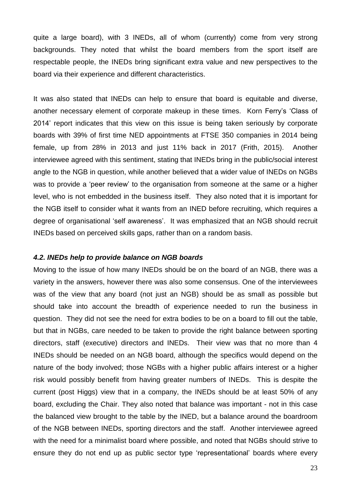quite a large board), with 3 INEDs, all of whom (currently) come from very strong backgrounds. They noted that whilst the board members from the sport itself are respectable people, the INEDs bring significant extra value and new perspectives to the board via their experience and different characteristics.

It was also stated that INEDs can help to ensure that board is equitable and diverse, another necessary element of corporate makeup in these times. Korn Ferry's 'Class of 2014' report indicates that this view on this issue is being taken seriously by corporate boards with 39% of first time NED appointments at FTSE 350 companies in 2014 being female, up from 28% in 2013 and just 11% back in 2017 (Frith, 2015). Another interviewee agreed with this sentiment, stating that INEDs bring in the public/social interest angle to the NGB in question, while another believed that a wider value of INEDs on NGBs was to provide a 'peer review' to the organisation from someone at the same or a higher level, who is not embedded in the business itself. They also noted that it is important for the NGB itself to consider what it wants from an INED before recruiting, which requires a degree of organisational 'self awareness'. It was emphasized that an NGB should recruit INEDs based on perceived skills gaps, rather than on a random basis.

### *4.2. INEDs help to provide balance on NGB boards*

Moving to the issue of how many INEDs should be on the board of an NGB, there was a variety in the answers, however there was also some consensus. One of the interviewees was of the view that any board (not just an NGB) should be as small as possible but should take into account the breadth of experience needed to run the business in question. They did not see the need for extra bodies to be on a board to fill out the table, but that in NGBs, care needed to be taken to provide the right balance between sporting directors, staff (executive) directors and INEDs. Their view was that no more than 4 INEDs should be needed on an NGB board, although the specifics would depend on the nature of the body involved; those NGBs with a higher public affairs interest or a higher risk would possibly benefit from having greater numbers of INEDs. This is despite the current (post Higgs) view that in a company, the INEDs should be at least 50% of any board, excluding the Chair. They also noted that balance was important - not in this case the balanced view brought to the table by the INED, but a balance around the boardroom of the NGB between INEDs, sporting directors and the staff. Another interviewee agreed with the need for a minimalist board where possible, and noted that NGBs should strive to ensure they do not end up as public sector type 'representational' boards where every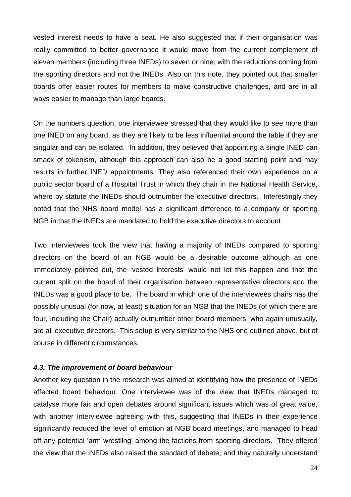vested interest needs to have a seat. He also suggested that if their organisation was really committed to better governance it would move from the current complement of eleven members (including three INEDs) to seven or nine, with the reductions coming from the sporting directors and not the INEDs. Also on this note, they pointed out that smaller boards offer easier routes for members to make constructive challenges, and are in all ways easier to manage than large boards.

On the numbers question, one interviewee stressed that they would like to see more than one INED on any board, as they are likely to be less influential around the table if they are singular and can be isolated. In addition, they believed that appointing a single INED can smack of tokenism, although this approach can also be a good starting point and may results in further INED appointments. They also referenced their own experience on a public sector board of a Hospital Trust in which they chair in the National Health Service, where by statute the INEDs should outnumber the executive directors. Interestingly they noted that the NHS board model has a significant difference to a company or sporting NGB in that the INEDs are mandated to hold the executive directors to account.

Two interviewees took the view that having a majority of INEDs compared to sporting directors on the board of an NGB would be a desirable outcome although as one immediately pointed out, the 'vested interests' would not let this happen and that the current split on the board of their organisation between representative directors and the INEDs was a good place to be. The board in which one of the interviewees chairs has the possibly unusual (for now, at least) situation for an NGB that the INEDs (of which there are four, including the Chair) actually outnumber other board members, who again unusually, are all executive directors. This setup is very similar to the NHS one outlined above, but of course in different circumstances.

### *4.3. The improvement of board behaviour*

Another key question in the research was aimed at identifying how the presence of INEDs affected board behaviour. One interviewee was of the view that INEDs managed to catalyse more fair and open debates around significant issues which was of great value, with another interviewee agreeing with this, suggesting that INEDs in their experience significantly reduced the level of emotion at NGB board meetings, and managed to head off any potential 'arm wrestling' among the factions from sporting directors. They offered the view that the INEDs also raised the standard of debate, and they naturally understand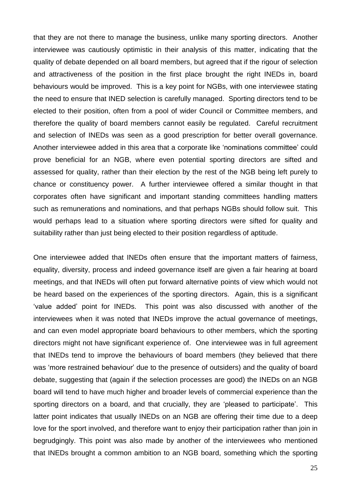that they are not there to manage the business, unlike many sporting directors. Another interviewee was cautiously optimistic in their analysis of this matter, indicating that the quality of debate depended on all board members, but agreed that if the rigour of selection and attractiveness of the position in the first place brought the right INEDs in, board behaviours would be improved. This is a key point for NGBs, with one interviewee stating the need to ensure that INED selection is carefully managed. Sporting directors tend to be elected to their position, often from a pool of wider Council or Committee members, and therefore the quality of board members cannot easily be regulated. Careful recruitment and selection of INEDs was seen as a good prescription for better overall governance. Another interviewee added in this area that a corporate like 'nominations committee' could prove beneficial for an NGB, where even potential sporting directors are sifted and assessed for quality, rather than their election by the rest of the NGB being left purely to chance or constituency power. A further interviewee offered a similar thought in that corporates often have significant and important standing committees handling matters such as remunerations and nominations, and that perhaps NGBs should follow suit. This would perhaps lead to a situation where sporting directors were sifted for quality and suitability rather than just being elected to their position regardless of aptitude.

One interviewee added that INEDs often ensure that the important matters of fairness, equality, diversity, process and indeed governance itself are given a fair hearing at board meetings, and that INEDs will often put forward alternative points of view which would not be heard based on the experiences of the sporting directors. Again, this is a significant 'value added' point for INEDs. This point was also discussed with another of the interviewees when it was noted that INEDs improve the actual governance of meetings, and can even model appropriate board behaviours to other members, which the sporting directors might not have significant experience of. One interviewee was in full agreement that INEDs tend to improve the behaviours of board members (they believed that there was 'more restrained behaviour' due to the presence of outsiders) and the quality of board debate, suggesting that (again if the selection processes are good) the INEDs on an NGB board will tend to have much higher and broader levels of commercial experience than the sporting directors on a board, and that crucially, they are 'pleased to participate'. This latter point indicates that usually INEDs on an NGB are offering their time due to a deep love for the sport involved, and therefore want to enjoy their participation rather than join in begrudgingly. This point was also made by another of the interviewees who mentioned that INEDs brought a common ambition to an NGB board, something which the sporting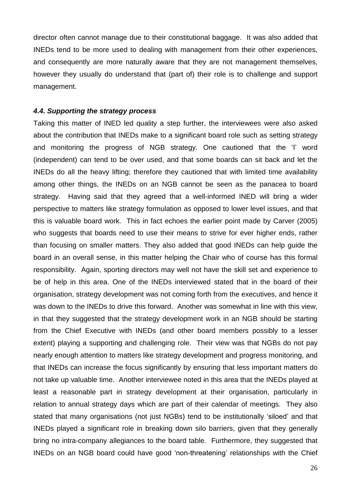director often cannot manage due to their constitutional baggage. It was also added that INEDs tend to be more used to dealing with management from their other experiences, and consequently are more naturally aware that they are not management themselves, however they usually do understand that (part of) their role is to challenge and support management.

#### *4.4. Supporting the strategy process*

Taking this matter of INED led quality a step further, the interviewees were also asked about the contribution that INEDs make to a significant board role such as setting strategy and monitoring the progress of NGB strategy. One cautioned that the 'I' word (independent) can tend to be over used, and that some boards can sit back and let the INEDs do all the heavy lifting; therefore they cautioned that with limited time availability among other things, the INEDs on an NGB cannot be seen as the panacea to board strategy. Having said that they agreed that a well-informed INED will bring a wider perspective to matters like strategy formulation as opposed to lower level issues, and that this is valuable board work. This in fact echoes the earlier point made by Carver (2005) who suggests that boards need to use their means to strive for ever higher ends, rather than focusing on smaller matters. They also added that good INEDs can help guide the board in an overall sense, in this matter helping the Chair who of course has this formal responsibility. Again, sporting directors may well not have the skill set and experience to be of help in this area. One of the INEDs interviewed stated that in the board of their organisation, strategy development was not coming forth from the executives, and hence it was down to the INEDs to drive this forward. Another was somewhat in line with this view, in that they suggested that the strategy development work in an NGB should be starting from the Chief Executive with INEDs (and other board members possibly to a lesser extent) playing a supporting and challenging role. Their view was that NGBs do not pay nearly enough attention to matters like strategy development and progress monitoring, and that INEDs can increase the focus significantly by ensuring that less important matters do not take up valuable time. Another interviewee noted in this area that the INEDs played at least a reasonable part in strategy development at their organisation, particularly in relation to annual strategy days which are part of their calendar of meetings. They also stated that many organisations (not just NGBs) tend to be institutionally 'siloed' and that INEDs played a significant role in breaking down silo barriers, given that they generally bring no intra-company allegiances to the board table. Furthermore, they suggested that INEDs on an NGB board could have good 'non-threatening' relationships with the Chief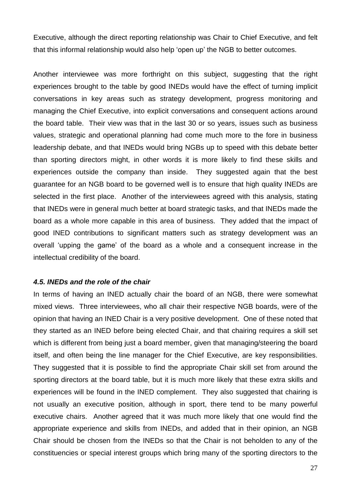Executive, although the direct reporting relationship was Chair to Chief Executive, and felt that this informal relationship would also help 'open up' the NGB to better outcomes.

Another interviewee was more forthright on this subject, suggesting that the right experiences brought to the table by good INEDs would have the effect of turning implicit conversations in key areas such as strategy development, progress monitoring and managing the Chief Executive, into explicit conversations and consequent actions around the board table. Their view was that in the last 30 or so years, issues such as business values, strategic and operational planning had come much more to the fore in business leadership debate, and that INEDs would bring NGBs up to speed with this debate better than sporting directors might, in other words it is more likely to find these skills and experiences outside the company than inside. They suggested again that the best guarantee for an NGB board to be governed well is to ensure that high quality INEDs are selected in the first place. Another of the interviewees agreed with this analysis, stating that INEDs were in general much better at board strategic tasks, and that INEDs made the board as a whole more capable in this area of business. They added that the impact of good INED contributions to significant matters such as strategy development was an overall 'upping the game' of the board as a whole and a consequent increase in the intellectual credibility of the board.

## *4.5. INEDs and the role of the chair*

In terms of having an INED actually chair the board of an NGB, there were somewhat mixed views. Three interviewees, who all chair their respective NGB boards, were of the opinion that having an INED Chair is a very positive development. One of these noted that they started as an INED before being elected Chair, and that chairing requires a skill set which is different from being just a board member, given that managing/steering the board itself, and often being the line manager for the Chief Executive, are key responsibilities. They suggested that it is possible to find the appropriate Chair skill set from around the sporting directors at the board table, but it is much more likely that these extra skills and experiences will be found in the INED complement. They also suggested that chairing is not usually an executive position, although in sport, there tend to be many powerful executive chairs. Another agreed that it was much more likely that one would find the appropriate experience and skills from INEDs, and added that in their opinion, an NGB Chair should be chosen from the INEDs so that the Chair is not beholden to any of the constituencies or special interest groups which bring many of the sporting directors to the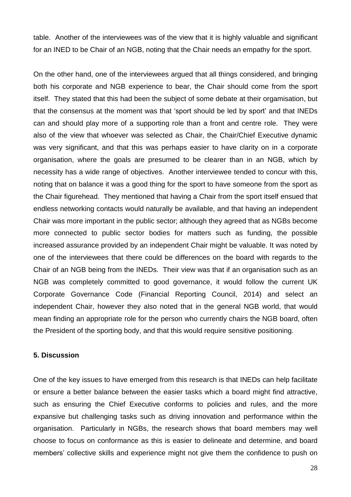table. Another of the interviewees was of the view that it is highly valuable and significant for an INED to be Chair of an NGB, noting that the Chair needs an empathy for the sport.

On the other hand, one of the interviewees argued that all things considered, and bringing both his corporate and NGB experience to bear, the Chair should come from the sport itself. They stated that this had been the subject of some debate at their orgamisation, but that the consensus at the moment was that 'sport should be led by sport' and that INEDs can and should play more of a supporting role than a front and centre role. They were also of the view that whoever was selected as Chair, the Chair/Chief Executive dynamic was very significant, and that this was perhaps easier to have clarity on in a corporate organisation, where the goals are presumed to be clearer than in an NGB, which by necessity has a wide range of objectives. Another interviewee tended to concur with this, noting that on balance it was a good thing for the sport to have someone from the sport as the Chair figurehead. They mentioned that having a Chair from the sport itself ensued that endless networking contacts would naturally be available, and that having an independent Chair was more important in the public sector; although they agreed that as NGBs become more connected to public sector bodies for matters such as funding, the possible increased assurance provided by an independent Chair might be valuable. It was noted by one of the interviewees that there could be differences on the board with regards to the Chair of an NGB being from the INEDs. Their view was that if an organisation such as an NGB was completely committed to good governance, it would follow the current UK Corporate Governance Code (Financial Reporting Council, 2014) and select an independent Chair, however they also noted that in the general NGB world, that would mean finding an appropriate role for the person who currently chairs the NGB board, often the President of the sporting body, and that this would require sensitive positioning.

## **5. Discussion**

One of the key issues to have emerged from this research is that INEDs can help facilitate or ensure a better balance between the easier tasks which a board might find attractive, such as ensuring the Chief Executive conforms to policies and rules, and the more expansive but challenging tasks such as driving innovation and performance within the organisation. Particularly in NGBs, the research shows that board members may well choose to focus on conformance as this is easier to delineate and determine, and board members' collective skills and experience might not give them the confidence to push on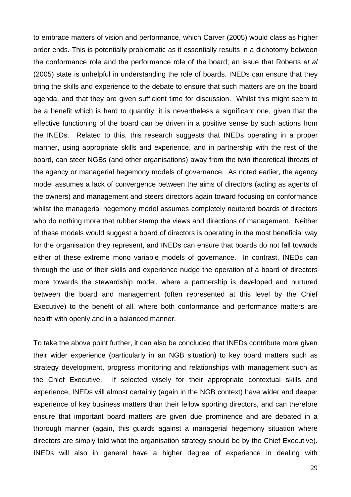to embrace matters of vision and performance, which Carver (2005) would class as higher order ends. This is potentially problematic as it essentially results in a dichotomy between the conformance role and the performance role of the board; an issue that Roberts *et al* (2005) state is unhelpful in understanding the role of boards. INEDs can ensure that they bring the skills and experience to the debate to ensure that such matters are on the board agenda, and that they are given sufficient time for discussion. Whilst this might seem to be a benefit which is hard to quantity, it is nevertheless a significant one, given that the effective functioning of the board can be driven in a positive sense by such actions from the INEDs. Related to this, this research suggests that INEDs operating in a proper manner, using appropriate skills and experience, and in partnership with the rest of the board, can steer NGBs (and other organisations) away from the twin theoretical threats of the agency or managerial hegemony models of governance. As noted earlier, the agency model assumes a lack of convergence between the aims of directors (acting as agents of the owners) and management and steers directors again toward focusing on conformance whilst the managerial hegemony model assumes completely neutered boards of directors who do nothing more that rubber stamp the views and directions of management. Neither of these models would suggest a board of directors is operating in the most beneficial way for the organisation they represent, and INEDs can ensure that boards do not fall towards either of these extreme mono variable models of governance. In contrast, INEDs can through the use of their skills and experience nudge the operation of a board of directors more towards the stewardship model, where a partnership is developed and nurtured between the board and management (often represented at this level by the Chief Executive) to the benefit of all, where both conformance and performance matters are health with openly and in a balanced manner.

To take the above point further, it can also be concluded that INEDs contribute more given their wider experience (particularly in an NGB situation) to key board matters such as strategy development, progress monitoring and relationships with management such as the Chief Executive. If selected wisely for their appropriate contextual skills and experience, INEDs will almost certainly (again in the NGB context) have wider and deeper experience of key business matters than their fellow sporting directors, and can therefore ensure that important board matters are given due prominence and are debated in a thorough manner (again, this guards against a managerial hegemony situation where directors are simply told what the organisation strategy should be by the Chief Executive). INEDs will also in general have a higher degree of experience in dealing with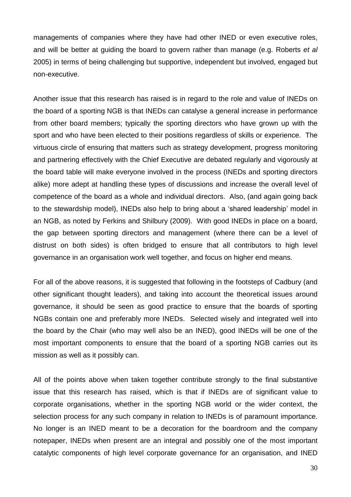managements of companies where they have had other INED or even executive roles, and will be better at guiding the board to govern rather than manage (e.g. Roberts *et al* 2005) in terms of being challenging but supportive, independent but involved, engaged but non-executive.

Another issue that this research has raised is in regard to the role and value of INEDs on the board of a sporting NGB is that INEDs can catalyse a general increase in performance from other board members; typically the sporting directors who have grown up with the sport and who have been elected to their positions regardless of skills or experience. The virtuous circle of ensuring that matters such as strategy development, progress monitoring and partnering effectively with the Chief Executive are debated regularly and vigorously at the board table will make everyone involved in the process (INEDs and sporting directors alike) more adept at handling these types of discussions and increase the overall level of competence of the board as a whole and individual directors. Also, (and again going back to the stewardship model), INEDs also help to bring about a 'shared leadership' model in an NGB, as noted by Ferkins and Shilbury (2009). With good INEDs in place on a board, the gap between sporting directors and management (where there can be a level of distrust on both sides) is often bridged to ensure that all contributors to high level governance in an organisation work well together, and focus on higher end means.

For all of the above reasons, it is suggested that following in the footsteps of Cadbury (and other significant thought leaders), and taking into account the theoretical issues around governance, it should be seen as good practice to ensure that the boards of sporting NGBs contain one and preferably more INEDs. Selected wisely and integrated well into the board by the Chair (who may well also be an INED), good INEDs will be one of the most important components to ensure that the board of a sporting NGB carries out its mission as well as it possibly can.

All of the points above when taken together contribute strongly to the final substantive issue that this research has raised, which is that if INEDs are of significant value to corporate organisations, whether in the sporting NGB world or the wider context, the selection process for any such company in relation to INEDs is of paramount importance. No longer is an INED meant to be a decoration for the boardroom and the company notepaper, INEDs when present are an integral and possibly one of the most important catalytic components of high level corporate governance for an organisation, and INED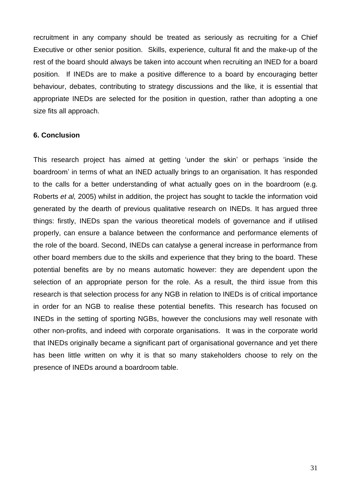recruitment in any company should be treated as seriously as recruiting for a Chief Executive or other senior position. Skills, experience, cultural fit and the make-up of the rest of the board should always be taken into account when recruiting an INED for a board position. If INEDs are to make a positive difference to a board by encouraging better behaviour, debates, contributing to strategy discussions and the like, it is essential that appropriate INEDs are selected for the position in question, rather than adopting a one size fits all approach.

## **6. Conclusion**

This research project has aimed at getting 'under the skin' or perhaps 'inside the boardroom' in terms of what an INED actually brings to an organisation. It has responded to the calls for a better understanding of what actually goes on in the boardroom (e.g. Roberts *et al,* 2005) whilst in addition, the project has sought to tackle the information void generated by the dearth of previous qualitative research on INEDs. It has argued three things: firstly, INEDs span the various theoretical models of governance and if utilised properly, can ensure a balance between the conformance and performance elements of the role of the board. Second, INEDs can catalyse a general increase in performance from other board members due to the skills and experience that they bring to the board. These potential benefits are by no means automatic however: they are dependent upon the selection of an appropriate person for the role. As a result, the third issue from this research is that selection process for any NGB in relation to INEDs is of critical importance in order for an NGB to realise these potential benefits. This research has focused on INEDs in the setting of sporting NGBs, however the conclusions may well resonate with other non-profits, and indeed with corporate organisations. It was in the corporate world that INEDs originally became a significant part of organisational governance and yet there has been little written on why it is that so many stakeholders choose to rely on the presence of INEDs around a boardroom table.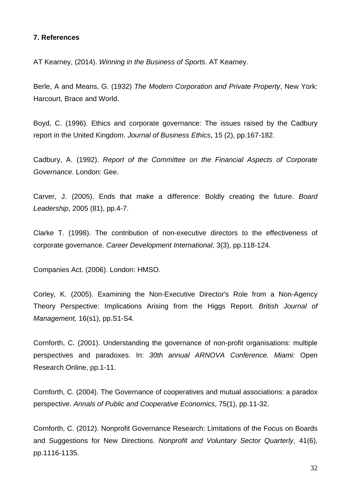## **7. References**

AT Kearney, (2014). *Winning in the Business of Sports*. AT Kearney.

Berle, A and Means, G. (1932) *The Modern Corporation and Private Property*, New York: Harcourt, Brace and World.

Boyd, C. (1996). Ethics and corporate governance: The issues raised by the Cadbury report in the United Kingdom. *Journal of Business Ethics*, 15 (2), pp.167-182.

Cadbury, A. (1992). *Report of the Committee on the Financial Aspects of Corporate Governance*. London: Gee.

Carver, J. (2005). Ends that make a difference: Boldly creating the future. *Board Leadership*, 2005 (81), pp.4-7.

Clarke T. (1998). The contribution of non-executive directors to the effectiveness of corporate governance. *Career Development International*, 3(3), pp.118-124.

Companies Act. (2006). London: HMSO.

Corley, K. (2005). Examining the Non-Executive Director's Role from a Non-Agency Theory Perspective: Implications Arising from the Higgs Report. *British Journal of Management,* 16(s1), pp.S1-S4.

Cornforth, C. (2001). Understanding the governance of non-profit organisations: multiple perspectives and paradoxes. In: *30th annual ARNOVA Conference. Miami:* Open Research Online, pp.1-11.

Cornforth, C. (2004). The Governance of cooperatives and mutual associations: a paradox perspective. *Annals of Public and Cooperative Economics*, 75(1), pp.11-32.

Cornforth, C. (2012). Nonprofit Governance Research: Limitations of the Focus on Boards and Suggestions for New Directions. *Nonprofit and Voluntary Sector Quarterly*, 41(6), pp.1116-1135.

32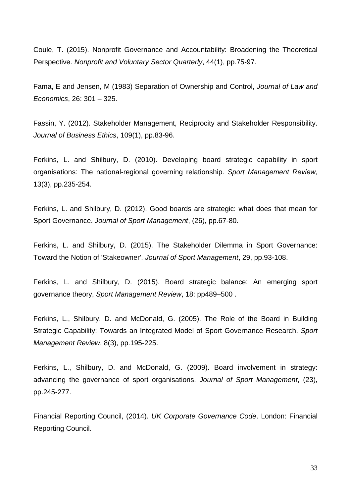Coule, T. (2015). Nonprofit Governance and Accountability: Broadening the Theoretical Perspective. *Nonprofit and Voluntary Sector Quarterly*, 44(1), pp.75-97.

Fama, E and Jensen, M (1983) Separation of Ownership and Control, *Journal of Law and Economics*, 26: 301 – 325.

Fassin, Y. (2012). Stakeholder Management, Reciprocity and Stakeholder Responsibility. *Journal of Business Ethics*, 109(1), pp.83-96.

Ferkins, L. and Shilbury, D. (2010). Developing board strategic capability in sport organisations: The national-regional governing relationship. *Sport Management Review*, 13(3), pp.235-254.

Ferkins, L. and Shilbury, D. (2012). Good boards are strategic: what does that mean for Sport Governance. *Journal of Sport Management*, (26), pp.67-80.

Ferkins, L. and Shilbury, D. (2015). The Stakeholder Dilemma in Sport Governance: Toward the Notion of 'Stakeowner'. *Journal of Sport Management*, 29, pp.93-108.

Ferkins, L. and Shilbury, D. (2015). Board strategic balance: An emerging sport governance theory, *Sport Management Review*, 18: pp489–500 .

Ferkins, L., Shilbury, D. and McDonald, G. (2005). The Role of the Board in Building Strategic Capability: Towards an Integrated Model of Sport Governance Research. *Sport Management Review*, 8(3), pp.195-225.

Ferkins, L., Shilbury, D. and McDonald, G. (2009). Board involvement in strategy: advancing the governance of sport organisations. *Journal of Sport Management*, (23), pp.245-277.

Financial Reporting Council, (2014). *UK Corporate Governance Code*. London: Financial Reporting Council.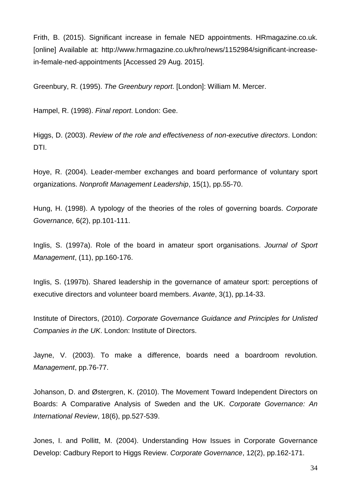Frith, B. (2015). Significant increase in female NED appointments. HRmagazine.co.uk. [online] Available at: http://www.hrmagazine.co.uk/hro/news/1152984/significant-increasein-female-ned-appointments [Accessed 29 Aug. 2015].

Greenbury, R. (1995). *The Greenbury report*. [London]: William M. Mercer.

Hampel, R. (1998). *Final report*. London: Gee.

Higgs, D. (2003). *Review of the role and effectiveness of non-executive directors*. London: DTI.

Hoye, R. (2004). Leader-member exchanges and board performance of voluntary sport organizations. *Nonprofit Management Leadership*, 15(1), pp.55-70.

Hung, H. (1998). A typology of the theories of the roles of governing boards. *Corporate Governance,* 6(2), pp.101-111.

Inglis, S. (1997a). Role of the board in amateur sport organisations. *Journal of Sport Management*, (11), pp.160-176.

Inglis, S. (1997b). Shared leadership in the governance of amateur sport: perceptions of executive directors and volunteer board members. *Avante*, 3(1), pp.14-33.

Institute of Directors, (2010). *Corporate Governance Guidance and Principles for Unlisted Companies in the UK*. London: Institute of Directors.

Jayne, V. (2003). To make a difference, boards need a boardroom revolution. *Management*, pp.76-77.

Johanson, D. and Østergren, K. (2010). The Movement Toward Independent Directors on Boards: A Comparative Analysis of Sweden and the UK. *Corporate Governance: An International Review*, 18(6), pp.527-539.

Jones, I. and Pollitt, M. (2004). Understanding How Issues in Corporate Governance Develop: Cadbury Report to Higgs Review. *Corporate Governance*, 12(2), pp.162-171.

34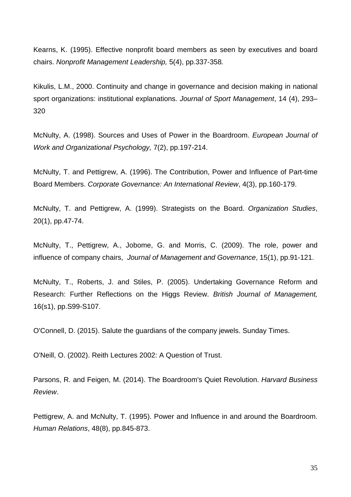Kearns, K. (1995). Effective nonprofit board members as seen by executives and board chairs. *Nonprofit Management Leadership,* 5(4), pp.337-358*.*

Kikulis, L.M., 2000. Continuity and change in governance and decision making in national sport organizations: institutional explanations. *Journal of Sport Management*, 14 (4), 293– 320

McNulty, A. (1998). Sources and Uses of Power in the Boardroom. *European Journal of Work and Organizational Psychology,* 7(2), pp.197-214.

McNulty, T. and Pettigrew, A. (1996). The Contribution, Power and Influence of Part-time Board Members. *Corporate Governance: An International Review*, 4(3), pp.160-179.

McNulty, T. and Pettigrew, A. (1999). Strategists on the Board. *Organization Studies*, 20(1), pp.47-74.

McNulty, T., Pettigrew, A., Jobome, G. and Morris, C. (2009). The role, power and influence of company chairs, *Journal of Management and Governance*, 15(1), pp.91-121.

McNulty, T., Roberts, J. and Stiles, P. (2005). Undertaking Governance Reform and Research: Further Reflections on the Higgs Review. *British Journal of Management,* 16(s1), pp.S99-S107.

O'Connell, D. (2015). Salute the guardians of the company jewels. Sunday Times.

O'Neill, O. (2002). Reith Lectures 2002: A Question of Trust.

Parsons, R. and Feigen, M. (2014). The Boardroom's Quiet Revolution. *Harvard Business Review*.

Pettigrew, A. and McNulty, T. (1995). Power and Influence in and around the Boardroom. *Human Relations*, 48(8), pp.845-873.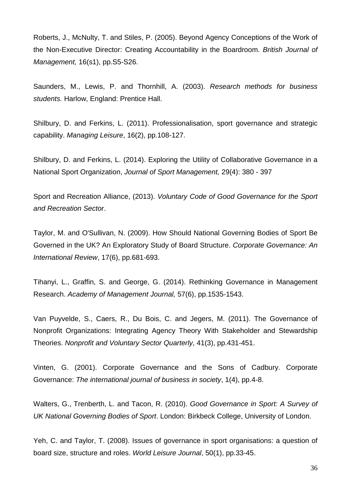Roberts, J., McNulty, T. and Stiles, P. (2005). Beyond Agency Conceptions of the Work of the Non-Executive Director: Creating Accountability in the Boardroom. *British Journal of Management,* 16(s1), pp.S5-S26.

Saunders, M., Lewis, P. and Thornhill, A. (2003). *Research methods for business students.* Harlow, England: Prentice Hall.

Shilbury, D. and Ferkins, L. (2011). Professionalisation, sport governance and strategic capability. *Managing Leisure*, 16(2), pp.108-127.

Shilbury, D. and Ferkins, L. (2014). Exploring the Utility of Collaborative Governance in a National Sport Organization, *Journal of Sport Management,* 29(4): 380 - 397

Sport and Recreation Alliance, (2013). *Voluntary Code of Good Governance for the Sport and Recreation Sector*.

Taylor, M. and O'Sullivan, N. (2009). How Should National Governing Bodies of Sport Be Governed in the UK? An Exploratory Study of Board Structure. *Corporate Governance: An International Review*, 17(6), pp.681-693.

Tihanyi, L., Graffin, S. and George, G. (2014). Rethinking Governance in Management Research. *Academy of Management Journal,* 57(6), pp.1535-1543.

Van Puyvelde, S., Caers, R., Du Bois, C. and Jegers, M. (2011). The Governance of Nonprofit Organizations: Integrating Agency Theory With Stakeholder and Stewardship Theories. *Nonprofit and Voluntary Sector Quarterly*, 41(3), pp.431-451.

Vinten, G. (2001). Corporate Governance and the Sons of Cadbury. Corporate Governance: *The international journal of business in society*, 1(4), pp.4-8.

Walters, G., Trenberth, L. and Tacon, R. (2010). *Good Governance in Sport: A Survey of UK National Governing Bodies of Sport*. London: Birkbeck College, University of London.

Yeh, C. and Taylor, T. (2008). Issues of governance in sport organisations: a question of board size, structure and roles. *World Leisure Journal*, 50(1), pp.33-45.